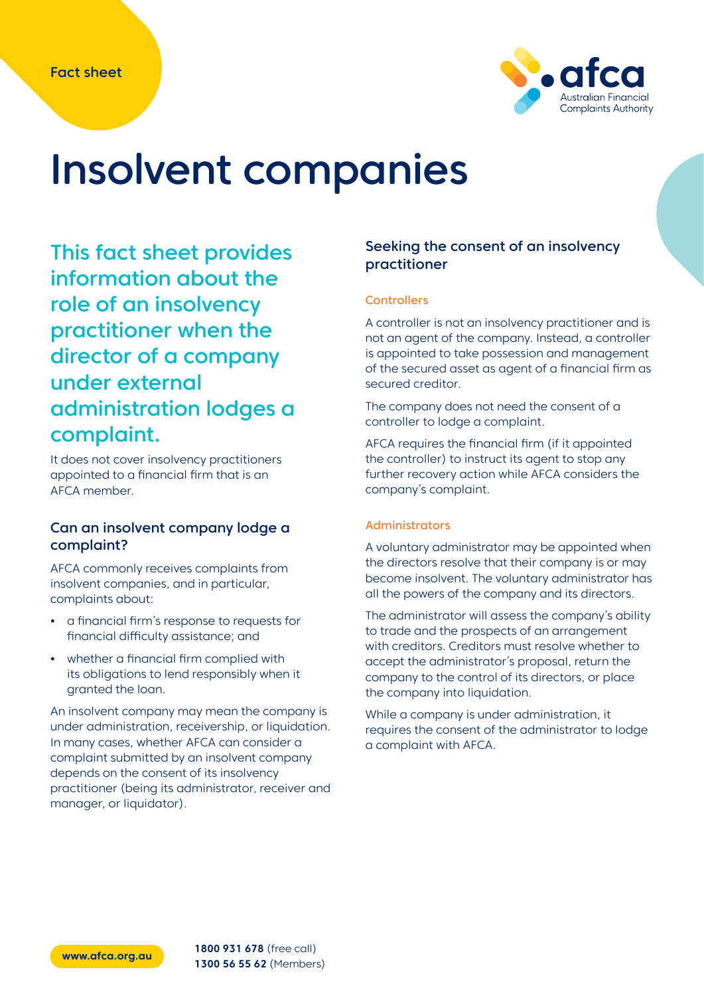

# Insolvent companies

This fact sheet provides information about the role of an insolvency practitioner when the director of a company under external administration lodges a complaint.

It does not cover insolvency practitioners appointed to a financial firm that is an AFCA member.

# Can an insolvent company lodge a complaint?

AFCA commonly receives complaints from insolvent companies, and in particular, complaints about:

- **•** a financial firm's response to requests for financial difficulty assistance; and
- **•** whether a financial firm complied with its obligations to lend responsibly when it granted the loan.

An insolvent company may mean the company is under administration, receivership, or liquidation. In many cases, whether AFCA can consider a complaint submitted by an insolvent company depends on the consent of its insolvency practitioner (being its administrator, receiver and manager, or liquidator).

# Seeking the consent of an insolvency practitioner

### **Controllers**

A controller is not an insolvency practitioner and is not an agent of the company. Instead, a controller is appointed to take possession and management of the secured asset as agent of a financial firm as secured creditor.

The company does not need the consent of a controller to lodge a complaint.

AFCA requires the financial firm (if it appointed the controller) to instruct its agent to stop any further recovery action while AFCA considers the company's complaint.

## Administrators

A voluntary administrator may be appointed when the directors resolve that their company is or may become insolvent. The voluntary administrator has all the powers of the company and its directors.

The administrator will assess the company's ability to trade and the prospects of an arrangement with creditors. Creditors must resolve whether to accept the administrator's proposal, return the company to the control of its directors, or place the company into liquidation.

While a company is under administration, it requires the consent of the administrator to lodge a complaint with AFCA.